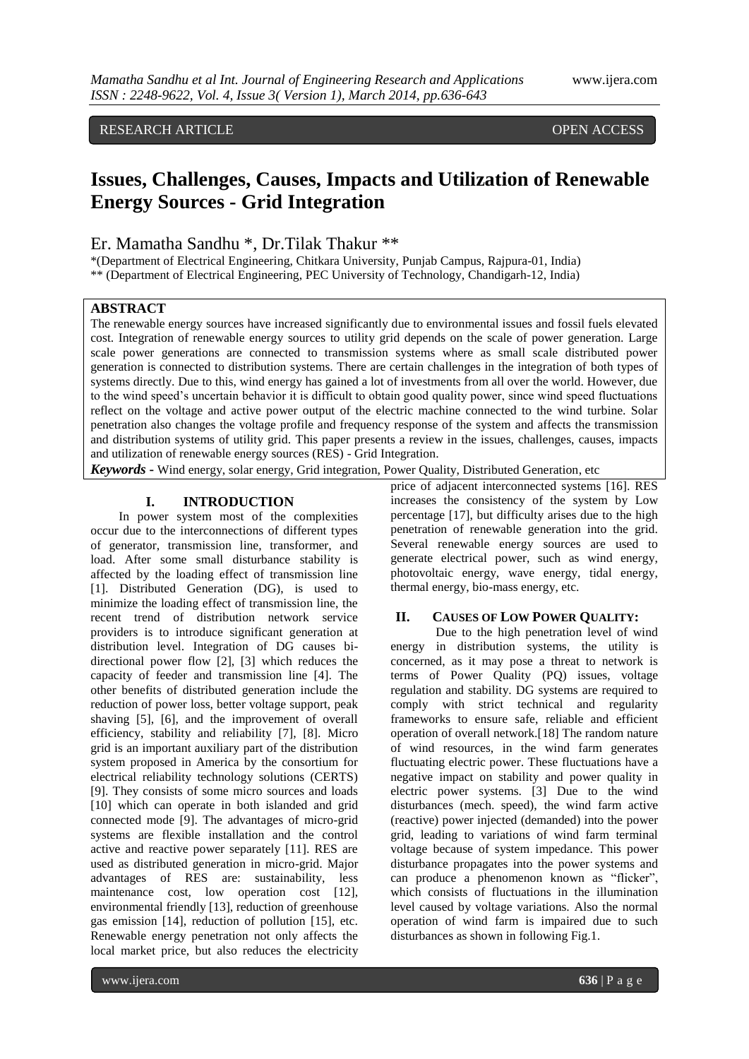# RESEARCH ARTICLE **CONSERVERS** OPEN ACCESS

# **Issues, Challenges, Causes, Impacts and Utilization of Renewable Energy Sources - Grid Integration**

## Er. Mamatha Sandhu \*, Dr.Tilak Thakur \*\*

\*(Department of Electrical Engineering, Chitkara University, Punjab Campus, Rajpura-01, India) \*\* (Department of Electrical Engineering, PEC University of Technology, Chandigarh-12, India)

# **ABSTRACT**

The renewable energy sources have increased significantly due to environmental issues and fossil fuels elevated cost. Integration of renewable energy sources to utility grid depends on the scale of power generation. Large scale power generations are connected to transmission systems where as small scale distributed power generation is connected to distribution systems. There are certain challenges in the integration of both types of systems directly. Due to this, wind energy has gained a lot of investments from all over the world. However, due to the wind speed's uncertain behavior it is difficult to obtain good quality power, since wind speed fluctuations reflect on the voltage and active power output of the electric machine connected to the wind turbine. Solar penetration also changes the voltage profile and frequency response of the system and affects the transmission and distribution systems of utility grid. This paper presents a review in the issues, challenges, causes, impacts and utilization of renewable energy sources (RES) - Grid Integration.

*Keywords* **-** Wind energy, solar energy, Grid integration, Power Quality, Distributed Generation, etc

#### **I. INTRODUCTION**

In power system most of the complexities occur due to the interconnections of different types of generator, transmission line, transformer, and load. After some small disturbance stability is affected by the loading effect of transmission line [1]. Distributed Generation (DG), is used to minimize the loading effect of transmission line, the recent trend of distribution network service providers is to introduce significant generation at distribution level. Integration of DG causes bidirectional power flow [2], [3] which reduces the capacity of feeder and transmission line [4]. The other benefits of distributed generation include the reduction of power loss, better voltage support, peak shaving [5], [6], and the improvement of overall efficiency, stability and reliability [7], [8]. Micro grid is an important auxiliary part of the distribution system proposed in America by the consortium for electrical reliability technology solutions (CERTS) [9]. They consists of some micro sources and loads [10] which can operate in both islanded and grid connected mode [9]. The advantages of micro-grid systems are flexible installation and the control active and reactive power separately [11]. RES are used as distributed generation in micro-grid. Major advantages of RES are: sustainability, less maintenance cost, low operation cost [12], environmental friendly [13], reduction of greenhouse gas emission [14], reduction of pollution [15], etc. Renewable energy penetration not only affects the local market price, but also reduces the electricity

price of adjacent interconnected systems [16]. RES increases the consistency of the system by Low percentage [17], but difficulty arises due to the high penetration of renewable generation into the grid. Several renewable energy sources are used to generate electrical power, such as wind energy, photovoltaic energy, wave energy, tidal energy, thermal energy, bio-mass energy, etc.

#### **II. CAUSES OF LOW POWER QUALITY:**

Due to the high penetration level of wind energy in distribution systems, the utility is concerned, as it may pose a threat to network is terms of Power Quality (PQ) issues, voltage regulation and stability. DG systems are required to comply with strict technical and regularity frameworks to ensure safe, reliable and efficient operation of overall network.[18] The random nature of wind resources, in the wind farm generates fluctuating electric power. These fluctuations have a negative impact on stability and power quality in electric power systems. [3] Due to the wind disturbances (mech. speed), the wind farm active (reactive) power injected (demanded) into the power grid, leading to variations of wind farm terminal voltage because of system impedance. This power disturbance propagates into the power systems and can produce a phenomenon known as "flicker", which consists of fluctuations in the illumination level caused by voltage variations. Also the normal operation of wind farm is impaired due to such disturbances as shown in following Fig.1.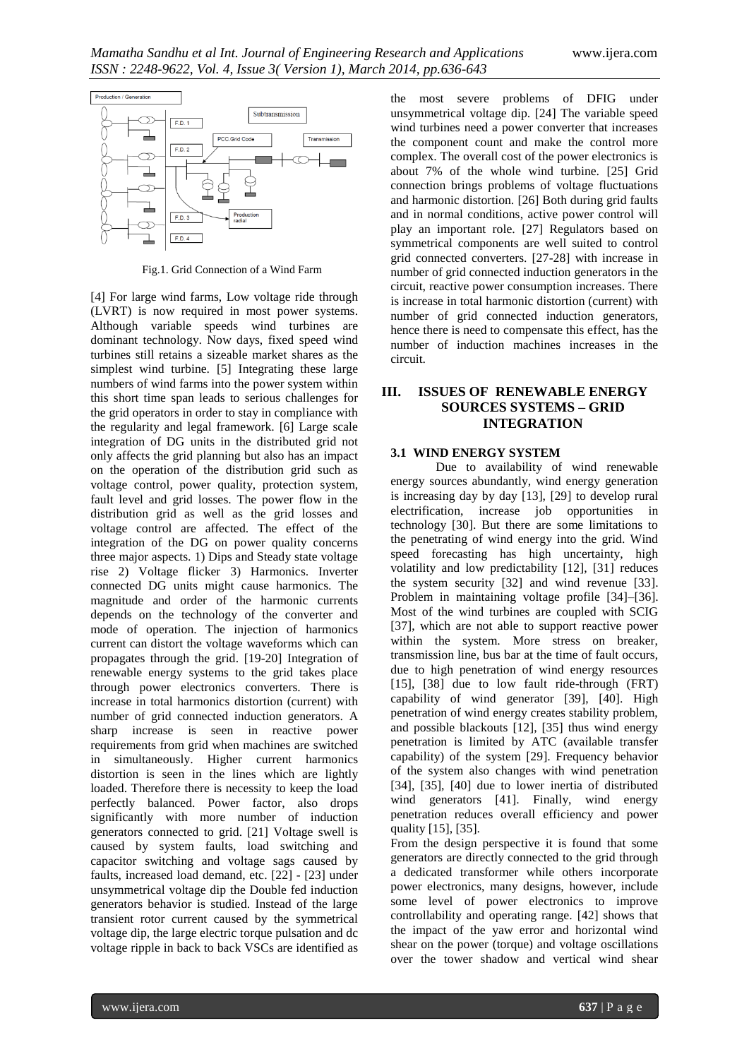

Fig.1. Grid Connection of a Wind Farm

[4] For large wind farms, Low voltage ride through (LVRT) is now required in most power systems. Although variable speeds wind turbines are dominant technology. Now days, fixed speed wind turbines still retains a sizeable market shares as the simplest wind turbine. [5] Integrating these large numbers of wind farms into the power system within this short time span leads to serious challenges for the grid operators in order to stay in compliance with the regularity and legal framework. [6] Large scale integration of DG units in the distributed grid not only affects the grid planning but also has an impact on the operation of the distribution grid such as voltage control, power quality, protection system, fault level and grid losses. The power flow in the distribution grid as well as the grid losses and voltage control are affected. The effect of the integration of the DG on power quality concerns three major aspects. 1) Dips and Steady state voltage rise 2) Voltage flicker 3) Harmonics. Inverter connected DG units might cause harmonics. The magnitude and order of the harmonic currents depends on the technology of the converter and mode of operation. The injection of harmonics current can distort the voltage waveforms which can propagates through the grid. [19-20] Integration of renewable energy systems to the grid takes place through power electronics converters. There is increase in total harmonics distortion (current) with number of grid connected induction generators. A sharp increase is seen in reactive power requirements from grid when machines are switched in simultaneously. Higher current harmonics distortion is seen in the lines which are lightly loaded. Therefore there is necessity to keep the load perfectly balanced. Power factor, also drops significantly with more number of induction generators connected to grid. [21] Voltage swell is caused by system faults, load switching and capacitor switching and voltage sags caused by faults, increased load demand, etc. [22] - [23] under unsymmetrical voltage dip the Double fed induction generators behavior is studied. Instead of the large transient rotor current caused by the symmetrical voltage dip, the large electric torque pulsation and dc voltage ripple in back to back VSCs are identified as

the most severe problems of DFIG under unsymmetrical voltage dip. [24] The variable speed wind turbines need a power converter that increases the component count and make the control more complex. The overall cost of the power electronics is about 7% of the whole wind turbine. [25] Grid connection brings problems of voltage fluctuations and harmonic distortion. [26] Both during grid faults and in normal conditions, active power control will play an important role. [27] Regulators based on symmetrical components are well suited to control grid connected converters. [27-28] with increase in number of grid connected induction generators in the circuit, reactive power consumption increases. There is increase in total harmonic distortion (current) with number of grid connected induction generators, hence there is need to compensate this effect, has the number of induction machines increases in the circuit.

# **III. ISSUES OF RENEWABLE ENERGY SOURCES SYSTEMS – GRID INTEGRATION**

#### **3.1 WIND ENERGY SYSTEM**

Due to availability of wind renewable energy sources abundantly, wind energy generation is increasing day by day [13], [29] to develop rural electrification, increase job opportunities in technology [30]. But there are some limitations to the penetrating of wind energy into the grid. Wind speed forecasting has high uncertainty, high volatility and low predictability [12], [31] reduces the system security [32] and wind revenue [33]. Problem in maintaining voltage profile [34]–[36]. Most of the wind turbines are coupled with SCIG [37], which are not able to support reactive power within the system. More stress on breaker, transmission line, bus bar at the time of fault occurs, due to high penetration of wind energy resources [15], [38] due to low fault ride-through (FRT) capability of wind generator [39], [40]. High penetration of wind energy creates stability problem, and possible blackouts [12], [35] thus wind energy penetration is limited by ATC (available transfer capability) of the system [29]. Frequency behavior of the system also changes with wind penetration [34], [35], [40] due to lower inertia of distributed wind generators [41]. Finally, wind energy penetration reduces overall efficiency and power quality [15], [35].

From the design perspective it is found that some generators are directly connected to the grid through a dedicated transformer while others incorporate power electronics, many designs, however, include some level of power electronics to improve controllability and operating range. [42] shows that the impact of the yaw error and horizontal wind shear on the power (torque) and voltage oscillations over the tower shadow and vertical wind shear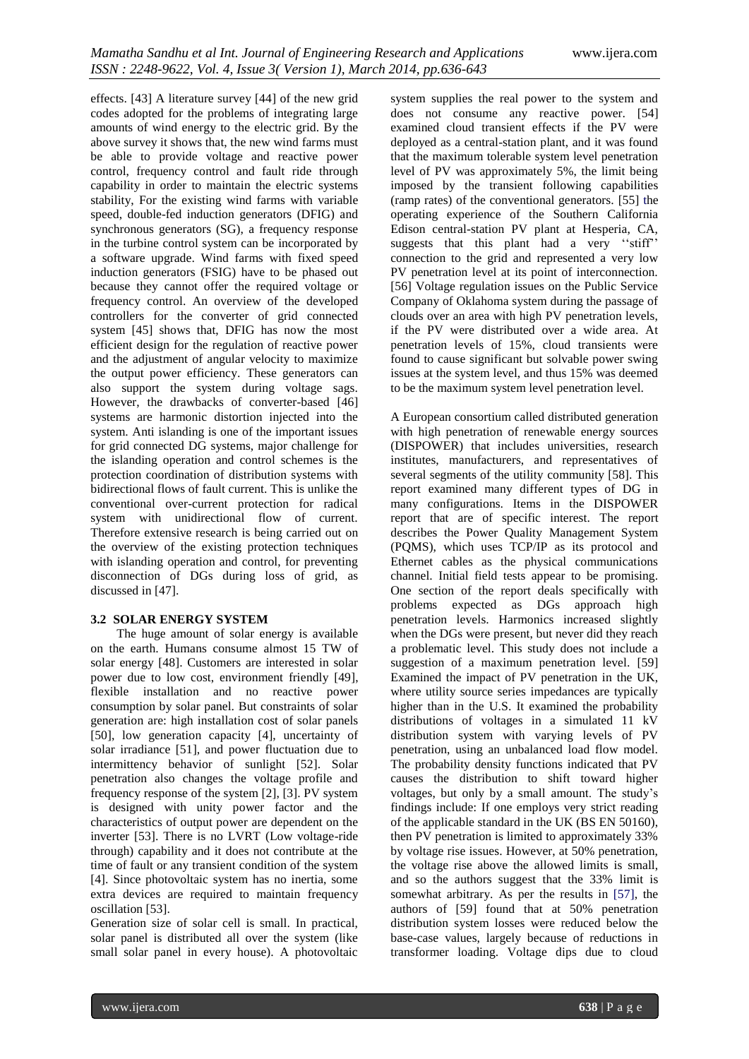effects. [43] A literature survey [44] of the new grid codes adopted for the problems of integrating large amounts of wind energy to the electric grid. By the above survey it shows that, the new wind farms must be able to provide voltage and reactive power control, frequency control and fault ride through capability in order to maintain the electric systems stability, For the existing wind farms with variable speed, double-fed induction generators (DFIG) and synchronous generators (SG), a frequency response in the turbine control system can be incorporated by a software upgrade. Wind farms with fixed speed induction generators (FSIG) have to be phased out because they cannot offer the required voltage or frequency control. An overview of the developed controllers for the converter of grid connected system [45] shows that, DFIG has now the most efficient design for the regulation of reactive power and the adjustment of angular velocity to maximize the output power efficiency. These generators can also support the system during voltage sags. However, the drawbacks of converter-based [46] systems are harmonic distortion injected into the system. Anti islanding is one of the important issues for grid connected DG systems, major challenge for the islanding operation and control schemes is the protection coordination of distribution systems with bidirectional flows of fault current. This is unlike the conventional over-current protection for radical system with unidirectional flow of current. Therefore extensive research is being carried out on the overview of the existing protection techniques with islanding operation and control, for preventing disconnection of DGs during loss of grid, as discussed in [47].

#### **3.2 SOLAR ENERGY SYSTEM**

The huge amount of solar energy is available on the earth. Humans consume almost 15 TW of solar energy [48]. Customers are interested in solar power due to low cost, environment friendly [49], flexible installation and no reactive power consumption by solar panel. But constraints of solar generation are: high installation cost of solar panels [50], low generation capacity [4], uncertainty of solar irradiance [51], and power fluctuation due to intermittency behavior of sunlight [52]. Solar penetration also changes the voltage profile and frequency response of the system [2], [3]. PV system is designed with unity power factor and the characteristics of output power are dependent on the inverter [53]. There is no LVRT (Low voltage-ride through) capability and it does not contribute at the time of fault or any transient condition of the system [4]. Since photovoltaic system has no inertia, some extra devices are required to maintain frequency oscillation [53].

Generation size of solar cell is small. In practical, solar panel is distributed all over the system (like small solar panel in every house). A photovoltaic

system supplies the real power to the system and does not consume any reactive power. [54] examined cloud transient effects if the PV were deployed as a central-station plant, and it was found that the maximum tolerable system level penetration level of PV was approximately 5%, the limit being imposed by the transient following capabilities (ramp rates) of the conventional generators. [55] the operating experience of the Southern California Edison central-station PV plant at Hesperia, CA, suggests that this plant had a very "stiff" connection to the grid and represented a very low PV penetration level at its point of interconnection. [56] Voltage regulation issues on the Public Service Company of Oklahoma system during the passage of clouds over an area with high PV penetration levels, if the PV were distributed over a wide area. At penetration levels of 15%, cloud transients were found to cause significant but solvable power swing issues at the system level, and thus 15% was deemed to be the maximum system level penetration level.

A European consortium called distributed generation with high penetration of renewable energy sources (DISPOWER) that includes universities, research institutes, manufacturers, and representatives of several segments of the utility community [58]. This report examined many different types of DG in many configurations. Items in the DISPOWER report that are of specific interest. The report describes the Power Quality Management System (PQMS), which uses TCP/IP as its protocol and Ethernet cables as the physical communications channel. Initial field tests appear to be promising. One section of the report deals specifically with problems expected as DGs approach high penetration levels. Harmonics increased slightly when the DGs were present, but never did they reach a problematic level. This study does not include a suggestion of a maximum penetration level. [59] Examined the impact of PV penetration in the UK, where utility source series impedances are typically higher than in the U.S. It examined the probability distributions of voltages in a simulated 11 kV distribution system with varying levels of PV penetration, using an unbalanced load flow model. The probability density functions indicated that PV causes the distribution to shift toward higher voltages, but only by a small amount. The study's findings include: If one employs very strict reading of the applicable standard in the UK (BS EN 50160), then PV penetration is limited to approximately 33% by voltage rise issues. However, at 50% penetration, the voltage rise above the allowed limits is small, and so the authors suggest that the 33% limit is somewhat arbitrary. As per the results in [57], the authors of [59] found that at 50% penetration distribution system losses were reduced below the base-case values, largely because of reductions in transformer loading. Voltage dips due to cloud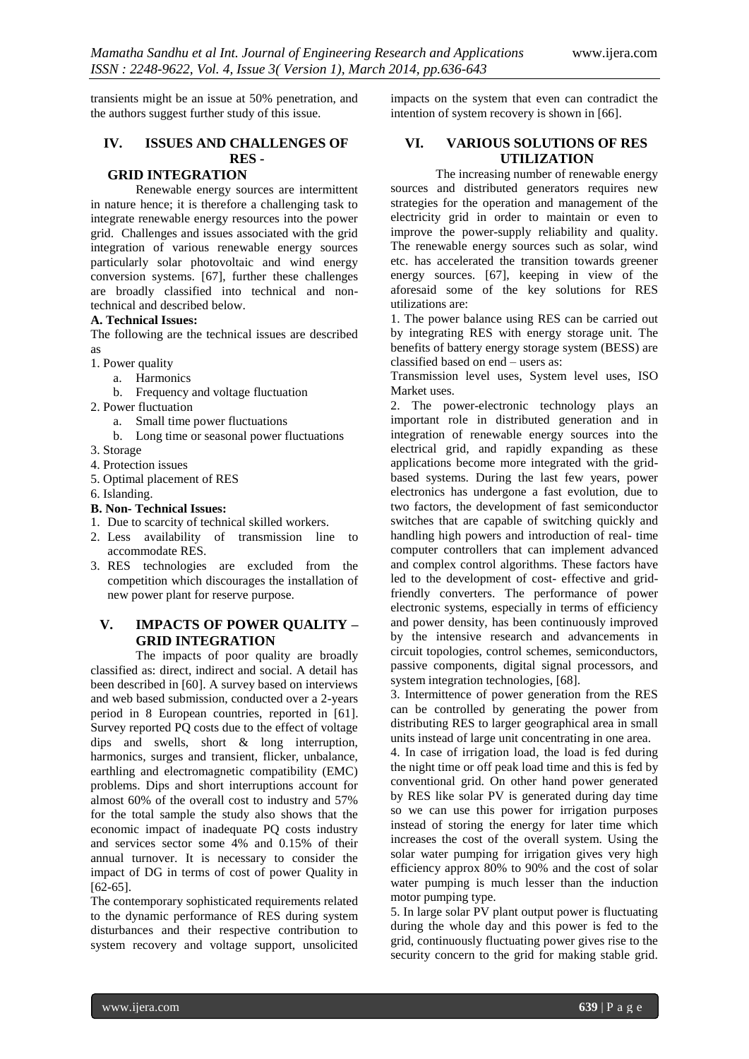transients might be an issue at 50% penetration, and the authors suggest further study of this issue.

# **IV. ISSUES AND CHALLENGES OF RES -**

# **GRID INTEGRATION**

Renewable energy sources are intermittent in nature hence; it is therefore a challenging task to integrate renewable energy resources into the power grid. Challenges and issues associated with the grid integration of various renewable energy sources particularly solar photovoltaic and wind energy conversion systems. [67], further these challenges are broadly classified into technical and nontechnical and described below.

#### **A. Technical Issues:**

The following are the technical issues are described as

- 1. Power quality
- a. Harmonics
	- b. Frequency and voltage fluctuation
- 2. Power fluctuation
	- a. Small time power fluctuations
	- b. Long time or seasonal power fluctuations
- 3. Storage
- 4. Protection issues
- 5. Optimal placement of RES
- 6. Islanding.
- **B. Non- Technical Issues:**
- 1. Due to scarcity of technical skilled workers.
- 2. Less availability of transmission line to accommodate RES.
- 3. RES technologies are excluded from the competition which discourages the installation of new power plant for reserve purpose.

## **V. IMPACTS OF POWER QUALITY – GRID INTEGRATION**

The impacts of poor quality are broadly classified as: direct, indirect and social. A detail has been described in [60]. A survey based on interviews and web based submission, conducted over a 2-years period in 8 European countries, reported in [61]. Survey reported PQ costs due to the effect of voltage dips and swells, short & long interruption, harmonics, surges and transient, flicker, unbalance, earthling and electromagnetic compatibility (EMC) problems. Dips and short interruptions account for almost 60% of the overall cost to industry and 57% for the total sample the study also shows that the economic impact of inadequate PQ costs industry and services sector some 4% and 0.15% of their annual turnover. It is necessary to consider the impact of DG in terms of cost of power Quality in [62-65].

The contemporary sophisticated requirements related to the dynamic performance of RES during system disturbances and their respective contribution to system recovery and voltage support, unsolicited impacts on the system that even can contradict the intention of system recovery is shown in [66].

#### **VI. VARIOUS SOLUTIONS OF RES UTILIZATION**

The increasing number of renewable energy sources and distributed generators requires new strategies for the operation and management of the electricity grid in order to maintain or even to improve the power-supply reliability and quality. The renewable energy sources such as solar, wind etc. has accelerated the transition towards greener energy sources. [67], keeping in view of the aforesaid some of the key solutions for RES utilizations are:

1. The power balance using RES can be carried out by integrating RES with energy storage unit. The benefits of battery energy storage system (BESS) are classified based on end – users as:

Transmission level uses, System level uses, ISO Market uses.

2. The power-electronic technology plays an important role in distributed generation and in integration of renewable energy sources into the electrical grid, and rapidly expanding as these applications become more integrated with the gridbased systems. During the last few years, power electronics has undergone a fast evolution, due to two factors, the development of fast semiconductor switches that are capable of switching quickly and handling high powers and introduction of real- time computer controllers that can implement advanced and complex control algorithms. These factors have led to the development of cost- effective and gridfriendly converters. The performance of power electronic systems, especially in terms of efficiency and power density, has been continuously improved by the intensive research and advancements in circuit topologies, control schemes, semiconductors, passive components, digital signal processors, and system integration technologies, [68].

3. Intermittence of power generation from the RES can be controlled by generating the power from distributing RES to larger geographical area in small units instead of large unit concentrating in one area.

4. In case of irrigation load, the load is fed during the night time or off peak load time and this is fed by conventional grid. On other hand power generated by RES like solar PV is generated during day time so we can use this power for irrigation purposes instead of storing the energy for later time which increases the cost of the overall system. Using the solar water pumping for irrigation gives very high efficiency approx 80% to 90% and the cost of solar water pumping is much lesser than the induction motor pumping type.

5. In large solar PV plant output power is fluctuating during the whole day and this power is fed to the grid, continuously fluctuating power gives rise to the security concern to the grid for making stable grid.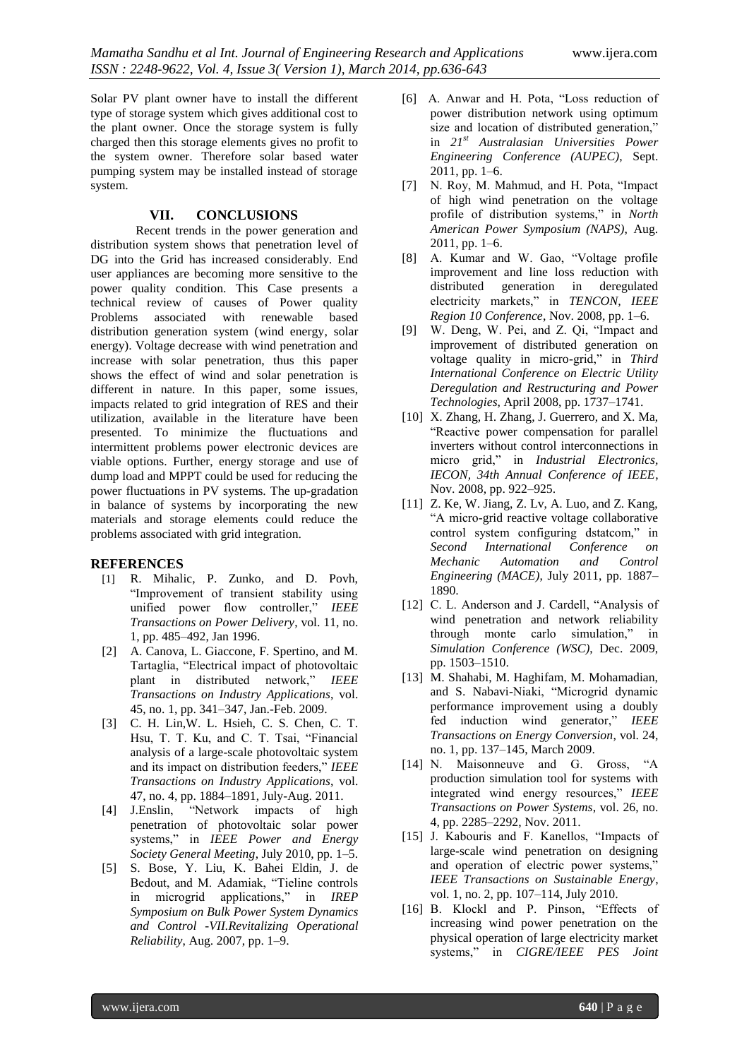Solar PV plant owner have to install the different type of storage system which gives additional cost to the plant owner. Once the storage system is fully charged then this storage elements gives no profit to the system owner. Therefore solar based water pumping system may be installed instead of storage system.

## **VII. CONCLUSIONS**

Recent trends in the power generation and distribution system shows that penetration level of DG into the Grid has increased considerably. End user appliances are becoming more sensitive to the power quality condition. This Case presents a technical review of causes of Power quality Problems associated with renewable based distribution generation system (wind energy, solar energy). Voltage decrease with wind penetration and increase with solar penetration, thus this paper shows the effect of wind and solar penetration is different in nature. In this paper, some issues, impacts related to grid integration of RES and their utilization, available in the literature have been presented. To minimize the fluctuations and intermittent problems power electronic devices are viable options. Further, energy storage and use of dump load and MPPT could be used for reducing the power fluctuations in PV systems. The up-gradation in balance of systems by incorporating the new materials and storage elements could reduce the problems associated with grid integration.

#### **REFERENCES**

- [1] R. Mihalic, P. Zunko, and D. Povh, "Improvement of transient stability using unified power flow controller," IEEE *Transactions on Power Delivery*, vol. 11, no. 1, pp. 485–492, Jan 1996.
- [2] A. Canova, L. Giaccone, F. Spertino, and M. Tartaglia, "Electrical impact of photovoltaic plant in distributed network," IEEE *Transactions on Industry Applications*, vol. 45, no. 1, pp. 341–347, Jan.-Feb. 2009.
- [3] C. H. Lin,W. L. Hsieh, C. S. Chen, C. T. Hsu, T. T. Ku, and C. T. Tsai, "Financial analysis of a large-scale photovoltaic system and its impact on distribution feeders," IEEE *Transactions on Industry Applications*, vol. 47, no. 4, pp. 1884–1891, July-Aug. 2011.
- [4] J.Enslin, "Network impacts of high penetration of photovoltaic solar power systems," in *IEEE Power and Energy Society General Meeting*, July 2010, pp. 1–5.
- [5] S. Bose, Y. Liu, K. Bahei Eldin, J. de Bedout, and M. Adamiak, "Tieline controls in microgrid applications," in *IREP Symposium on Bulk Power System Dynamics and Control -VII.Revitalizing Operational Reliability*, Aug. 2007, pp. 1–9.
- [6] A. Anwar and H. Pota, "Loss reduction of power distribution network using optimum size and location of distributed generation," in *21st Australasian Universities Power Engineering Conference (AUPEC)*, Sept. 2011, pp. 1–6.
- [7] N. Roy, M. Mahmud, and H. Pota, "Impact of high wind penetration on the voltage profile of distribution systems," in *North American Power Symposium (NAPS)*, Aug. 2011, pp. 1–6.
- [8] A. Kumar and W. Gao, "Voltage profile improvement and line loss reduction with distributed generation in deregulated electricity markets," in *TENCON, IEEE Region 10 Conference*, Nov. 2008, pp. 1–6.
- [9] W. Deng, W. Pei, and Z. Qi, "Impact and improvement of distributed generation on voltage quality in micro-grid," in *Third International Conference on Electric Utility Deregulation and Restructuring and Power Technologies*, April 2008, pp. 1737–1741.
- [10] X. Zhang, H. Zhang, J. Guerrero, and X. Ma, ―Reactive power compensation for parallel inverters without control interconnections in micro grid," in *Industrial Electronics*, *IECON, 34th Annual Conference of IEEE*, Nov. 2008, pp. 922–925.
- [11] Z. Ke, W. Jiang, Z. Lv, A. Luo, and Z. Kang, ―A micro-grid reactive voltage collaborative control system configuring dstatcom," in *Second International Conference on Mechanic Automation and Control Engineering (MACE)*, July 2011, pp. 1887– 1890.
- [12] C. L. Anderson and J. Cardell, "Analysis of wind penetration and network reliability through monte carlo simulation," in *Simulation Conference (WSC)*, Dec. 2009, pp. 1503–1510.
- [13] M. Shahabi, M. Haghifam, M. Mohamadian, and S. Nabavi-Niaki, "Microgrid dynamic performance improvement using a doubly fed induction wind generator," IEEE *Transactions on Energy Conversion*, vol. 24, no. 1, pp. 137–145, March 2009.
- [14] N. Maisonneuve and G. Gross, "A production simulation tool for systems with integrated wind energy resources," IEEE *Transactions on Power Systems*, vol. 26, no. 4, pp. 2285–2292, Nov. 2011.
- [15] J. Kabouris and F. Kanellos, "Impacts of large-scale wind penetration on designing and operation of electric power systems," *IEEE Transactions on Sustainable Energy*, vol. 1, no. 2, pp. 107–114, July 2010.
- [16] B. Klockl and P. Pinson, "Effects of increasing wind power penetration on the physical operation of large electricity market systems," in *CIGRE/IEEE PES Joint*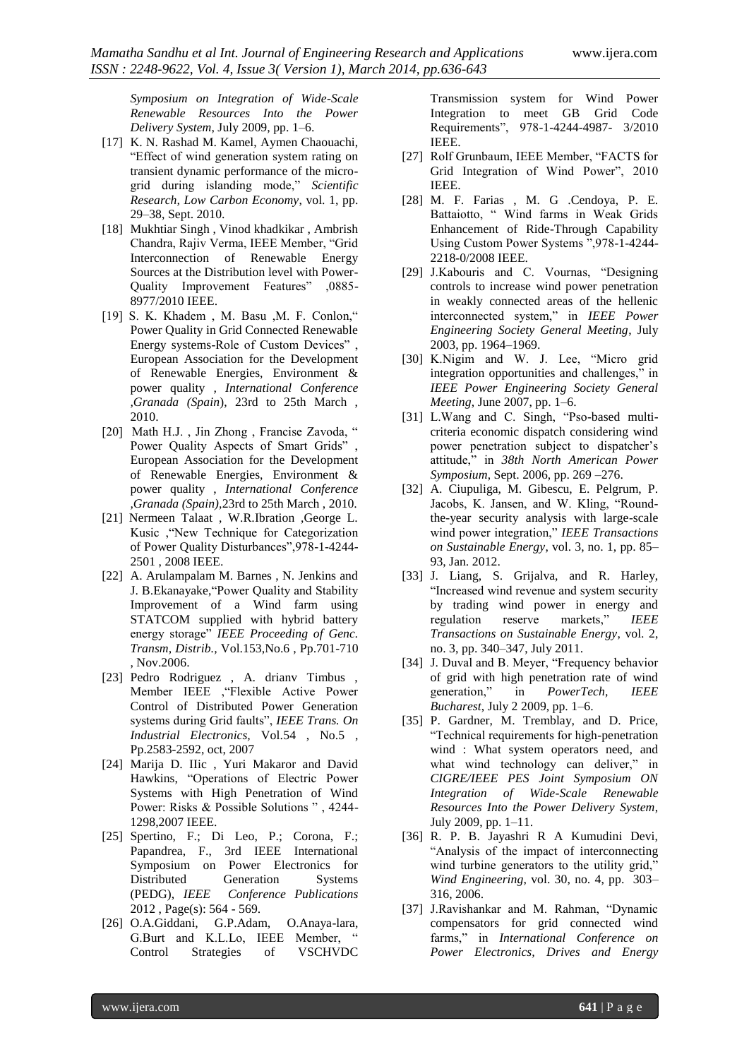*Symposium on Integration of Wide-Scale Renewable Resources Into the Power Delivery System*, July 2009, pp. 1–6.

- [17] K. N. Rashad M. Kamel, Aymen Chaouachi, ―Effect of wind generation system rating on transient dynamic performance of the microgrid during islanding mode," Scientific *Research, Low Carbon Economy*, vol. 1, pp. 29–38, Sept. 2010.
- [18] Mukhtiar Singh, Vinod khadkikar, Ambrish Chandra, Rajiv Verma, IEEE Member, "Grid Interconnection of Renewable Energy Sources at the Distribution level with Power-Quality Improvement Features" ,0885-8977/2010 IEEE.
- [19] S. K. Khadem, M. Basu, M. F. Conlon," Power Quality in Grid Connected Renewable Energy systems-Role of Custom Devices", European Association for the Development of Renewable Energies, Environment & power quality *, International Conference ,Granada (Spain*), 23rd to 25th March , 2010.
- [20] Math H.J., Jin Zhong, Francise Zavoda, " Power Quality Aspects of Smart Grids", European Association for the Development of Renewable Energies, Environment & power quality , *International Conference ,Granada (Spain),*23rd to 25th March , 2010.
- [21] Nermeen Talaat , W.R.Ibration ,George L. Kusic , "New Technique for Categorization" of Power Quality Disturbances", 978-1-4244-2501 , 2008 IEEE.
- [22] A. Arulampalam M. Barnes, N. Jenkins and J. B.Ekanayake, "Power Quality and Stability Improvement of a Wind farm using STATCOM supplied with hybrid battery energy storage" IEEE Proceeding of Genc. *Transm, Distrib.,* Vol.153,No.6 , Pp.701-710 , Nov.2006.
- [23] Pedro Rodriguez , A. drianv Timbus , Member IEEE , "Flexible Active Power Control of Distributed Power Generation systems during Grid faults", IEEE Trans. On *Industrial Electronics,* Vol.54 , No.5 , Pp.2583-2592, oct, 2007
- [24] Marija D. IIic , Yuri Makaror and David Hawkins, "Operations of Electric Power Systems with High Penetration of Wind Power: Risks & Possible Solutions ", 4244-1298,2007 IEEE.
- [25] Spertino, F.; Di Leo, P.; Corona, F.; Papandrea, F., 3rd IEEE International Symposium on Power Electronics for Distributed Generation Systems (PEDG), *[IEEE Conference Publications](http://ieeexplore.ieee.org/xpl/mostRecentIssue.jsp?punumber=6248406)*  [2012 ,](http://ieeexplore.ieee.org/xpl/mostRecentIssue.jsp?punumber=6248406) Page(s): 564 - 569.
- [26] O.A.Giddani, G.P.Adam, O.Anaya-lara, G.Burt and K.L.Lo, IEEE Member, " Control Strategies of VSCHVDC

Transmission system for Wind Power Integration to meet GB Grid Code Requirements‖, 978-1-4244-4987- 3/2010 IEEE.

- [27] Rolf Grunbaum, IEEE Member, "FACTS for Grid Integration of Wind Power", 2010 IEEE.
- [28] M. F. Farias , M. G .Cendoya, P. E. Battaiotto, "Wind farms in Weak Grids Enhancement of Ride-Through Capability Using Custom Power Systems ", 978-1-4244-2218-0/2008 IEEE.
- [29] J.Kabouris and C. Vournas, "Designing controls to increase wind power penetration in weakly connected areas of the hellenic interconnected system,‖ in *IEEE Power Engineering Society General Meeting*, July 2003, pp. 1964–1969.
- [30] K.Nigim and W. J. Lee, "Micro grid integration opportunities and challenges," in *IEEE Power Engineering Society General Meeting*, June 2007, pp. 1–6.
- [31] L.Wang and C. Singh, "Pso-based multicriteria economic dispatch considering wind power penetration subject to dispatcher's attitude," in 38th North American Power *Symposium*, Sept. 2006, pp. 269 –276.
- [32] A. Ciupuliga, M. Gibescu, E. Pelgrum, P. Jacobs, K. Jansen, and W. Kling, "Roundthe-year security analysis with large-scale wind power integration," *IEEE Transactions on Sustainable Energy*, vol. 3, no. 1, pp. 85– 93, Jan. 2012.
- [33] J. Liang, S. Grijalva, and R. Harley, "Increased wind revenue and system security by trading wind power in energy and regulation reserve markets," IEEE *Transactions on Sustainable Energy*, vol. 2, no. 3, pp. 340–347, July 2011.
- [34] J. Duval and B. Meyer, "Frequency behavior of grid with high penetration rate of wind generation,‖ in *PowerTech, IEEE Bucharest*, July 2 2009, pp. 1–6.
- [35] P. Gardner, M. Tremblay, and D. Price, ―Technical requirements for high-penetration wind : What system operators need, and what wind technology can deliver," in *CIGRE/IEEE PES Joint Symposium ON Integration of Wide-Scale Renewable Resources Into the Power Delivery System*, July 2009, pp. 1–11.
- [36] R. P. B. Jayashri R A Kumudini Devi, ―Analysis of the impact of interconnecting wind turbine generators to the utility grid," *Wind Engineering*, vol. 30, no. 4, pp. 303– 316, 2006.
- [37] J.Ravishankar and M. Rahman, "Dynamic compensators for grid connected wind farms,‖ in *International Conference on Power Electronics, Drives and Energy*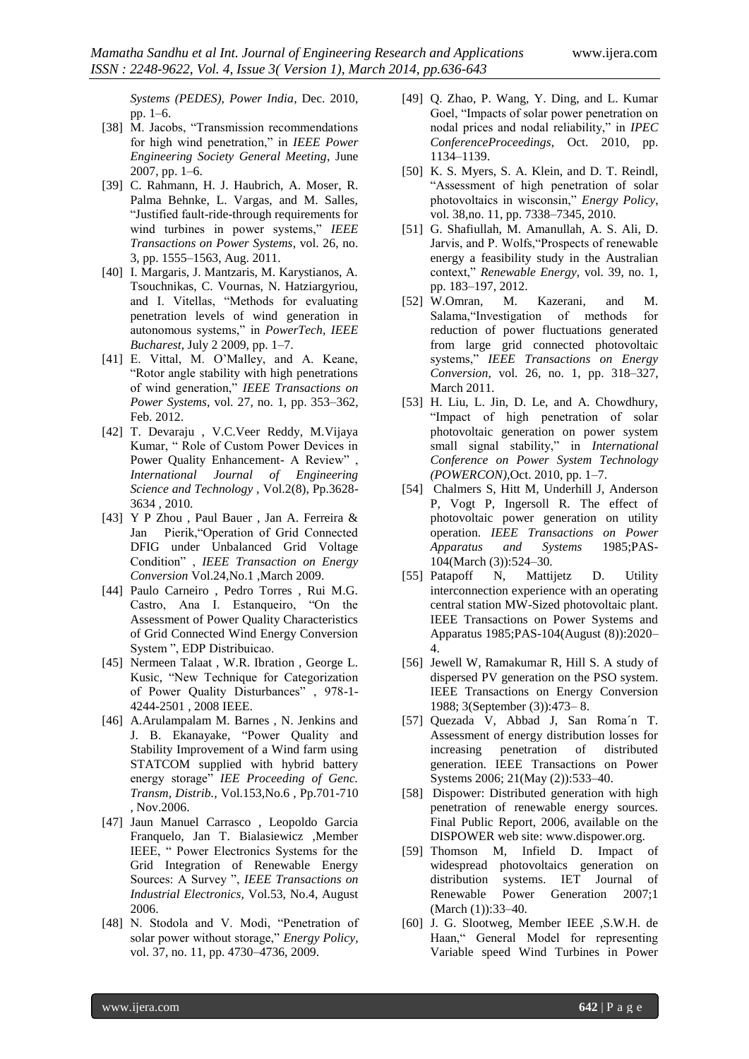*Systems (PEDES), Power India*, Dec. 2010, pp. 1–6.

- [38] M. Jacobs, "Transmission recommendations for high wind penetration," in *IEEE Power Engineering Society General Meeting*, June 2007, pp. 1–6.
- [39] C. Rahmann, H. J. Haubrich, A. Moser, R. Palma Behnke, L. Vargas, and M. Salles, ―Justified fault-ride-through requirements for wind turbines in power systems," *IEEE Transactions on Power Systems*, vol. 26, no. 3, pp. 1555–1563, Aug. 2011.
- [40] I. Margaris, J. Mantzaris, M. Karystianos, A. Tsouchnikas, C. Vournas, N. Hatziargyriou, and I. Vitellas, "Methods for evaluating penetration levels of wind generation in autonomous systems," in PowerTech, IEEE *Bucharest*, July 2 2009, pp. 1–7.
- [41] E. Vittal, M. O'Malley, and A. Keane, ―Rotor angle stability with high penetrations of wind generation,‖ *IEEE Transactions on Power Systems*, vol. 27, no. 1, pp. 353–362, Feb. 2012.
- [42] T. Devaraju , V.C.Veer Reddy, M.Vijaya Kumar, "Role of Custom Power Devices in Power Quality Enhancement- A Review", *International Journal of Engineering Science and Technology ,* Vol.2(8), Pp.3628- 3634 , 2010.
- [43] Y P Zhou , Paul Bauer , Jan A. Ferreira & Jan Pierik, "Operation of Grid Connected" DFIG under Unbalanced Grid Voltage Condition‖ , *IEEE Transaction on Energy Conversion* Vol.24,No.1 ,March 2009.
- [44] Paulo Carneiro , Pedro Torres , Rui M.G. Castro, Ana I. Estanqueiro, "On the Assessment of Power Quality Characteristics of Grid Connected Wind Energy Conversion System ", EDP Distribuicao.
- [45] Nermeen Talaat , W.R. Ibration , George L. Kusic, "New Technique for Categorization" of Power Quality Disturbances", 978-1-4244-2501 , 2008 IEEE.
- [46] A.Arulampalam M. Barnes , N. Jenkins and J. B. Ekanayake, "Power Quality and Stability Improvement of a Wind farm using STATCOM supplied with hybrid battery energy storage" IEE Proceeding of Genc. *Transm, Distrib.,* Vol.153,No.6 , Pp.701-710 , Nov.2006.
- [47] Jaun Manuel Carrasco , Leopoldo Garcia Franquelo, Jan T. Bialasiewicz ,Member IEEE, " Power Electronics Systems for the Grid Integration of Renewable Energy Sources: A Survey ", *IEEE Transactions on Industrial Electronics,* Vol.53, No.4, August 2006.
- [48] N. Stodola and V. Modi, "Penetration of solar power without storage," *Energy Policy*, vol. 37, no. 11, pp. 4730–4736, 2009.
- [49] Q. Zhao, P. Wang, Y. Ding, and L. Kumar Goel, "Impacts of solar power penetration on nodal prices and nodal reliability," in *IPEC ConferenceProceedings*, Oct. 2010, pp. 1134–1139.
- [50] K. S. Myers, S. A. Klein, and D. T. Reindl, ―Assessment of high penetration of solar photovoltaics in wisconsin," *Energy Policy*, vol. 38,no. 11, pp. 7338–7345, 2010.
- [51] G. Shafiullah, M. Amanullah, A. S. Ali, D. Jarvis, and P. Wolfs, "Prospects of renewable" energy a feasibility study in the Australian context,‖ *Renewable Energy*, vol. 39, no. 1, pp. 183–197, 2012.
- [52] W.Omran, M. Kazerani, and M. Salama, "Investigation of methods for reduction of power fluctuations generated from large grid connected photovoltaic systems," **IEEE** Transactions on Energy *Conversion*, vol. 26, no. 1, pp. 318–327, March 2011.
- [53] H. Liu, L. Jin, D. Le, and A. Chowdhury, "Impact of high penetration of solar photovoltaic generation on power system small signal stability," in *International Conference on Power System Technology (POWERCON)*,Oct. 2010, pp. 1–7.
- [54] Chalmers S, Hitt M, Underhill J, Anderson P, Vogt P, Ingersoll R. The effect of photovoltaic power generation on utility operation. *IEEE Transactions on Power Apparatus and Systems* 1985;PAS-104(March (3)):524–30.
- [55] Patapoff N, Mattijetz D. Utility interconnection experience with an operating central station MW-Sized photovoltaic plant. IEEE Transactions on Power Systems and Apparatus 1985;PAS-104(August (8)):2020– 4.
- [56] Jewell W, Ramakumar R, Hill S. A study of dispersed PV generation on the PSO system. IEEE Transactions on Energy Conversion 1988; 3(September (3)):473– 8.
- [57] Quezada V, Abbad J, San Roma´n T. Assessment of energy distribution losses for increasing penetration of distributed generation. IEEE Transactions on Power Systems 2006; 21(May (2)):533–40.
- [58] Dispower: Distributed generation with high penetration of renewable energy sources. Final Public Report, 2006, available on the DISPOWER web site: www.dispower.org.
- [59] Thomson M, Infield D. Impact of widespread photovoltaics generation on distribution systems. IET Journal of Renewable Power Generation 2007;1 (March (1)):33–40.
- [60] J. G. Slootweg, Member IEEE ,S.W.H. de Haan," General Model for representing Variable speed Wind Turbines in Power